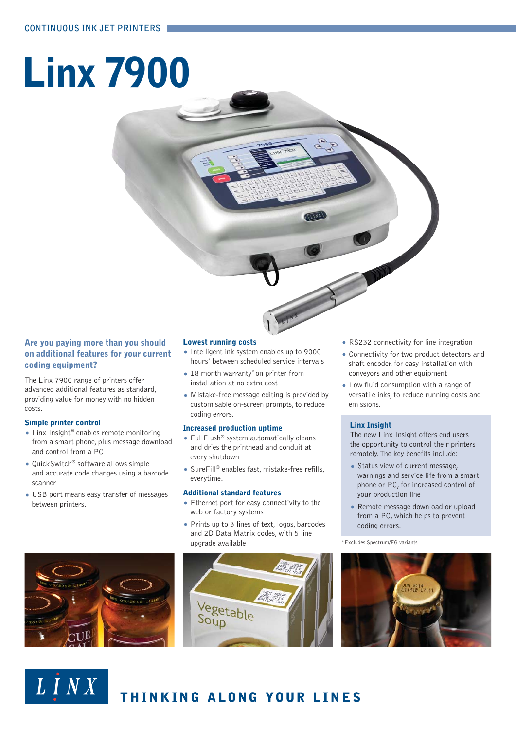# **Linx 7900**

# **Are you paying more than you should on additional features for your current coding equipment?**

The Linx 7900 range of printers offer advanced additional features as standard, providing value for money with no hidden costs.

# **Simple printer control**

LINX

- Linx Insight<sup>®</sup> enables remote monitoring from a smart phone, plus message download and control from a PC
- QuickSwitch® software allows simple and accurate code changes using a barcode scanner
- USB port means easy transfer of messages between printers.

# **Lowest running costs**

- Intelligent ink system enables up to 9000 hours\* between scheduled service intervals
- 18 month warranty\* on printer from installation at no extra cost
- Mistake-free message editing is provided by customisable on-screen prompts, to reduce coding errors.

# **Increased production uptime**

- FullFlush<sup>®</sup> system automatically cleans and dries the printhead and conduit at every shutdown
- SureFill® enables fast, mistake-free refills, everytime.

# **Additional standard features**

- Ethernet port for easy connectivity to the web or factory systems
- Prints up to 3 lines of text, logos, barcodes and 2D Data Matrix codes, with 5 line upgrade available



THINKING ALONG YOUR LINES

- RS232 connectivity for line integration
- Connectivity for two product detectors and shaft encoder, for easy installation with conveyors and other equipment
- Low fluid consumption with a range of versatile inks, to reduce running costs and emissions.

# **Linx Insight**

The new Linx Insight offers end users the opportunity to control their printers remotely. The key benefits include:

- Status view of current message, warnings and service life from a smart phone or PC, for increased control of your production line
- Remote message download or upload from a PC, which helps to prevent coding errors.

\*Excludes Spectrum/FG variants